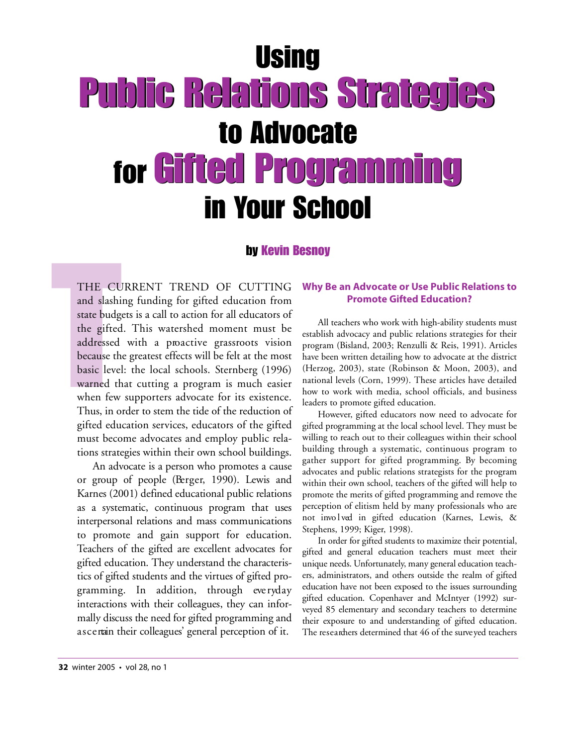# **Using** Public Relations Strategies Public Relations Strategies to Advocate for Gifted Programming Gifted Programmingin Your School

### by Kevin Besnoy

THE CU<br>and slashi<br>state budg<br>the gifted<br>addressed<br>because th<br>basic level<br>warned th<br>when few THE CURRENT TREND OF CUTTING and slashing funding for gifted education from state budgets is a call to action for all educators of the gifted. This watershed moment must be addressed with a proactive grassroots vision because the greatest effects will be felt at the most basic level: the local schools. Sternberg (1996) warned that cutting a program is much easier when few supporters advocate for its existence. Thus, in order to stem the tide of the reduction of gifted education services, educators of the gifted must become advocates and employ public relations strategies within their own school buildings.

> An advocate is a person who promotes a cause or group of people (Berger, 1990). Lewis and Karnes (2001) defined educational public relations as a systematic, continuous program that uses interpersonal relations and mass communications to promote and gain support for education. Teachers of the gifted are excellent advocates for gifted education. They understand the characteristics of gifted students and the virtues of gifted programming. In addition, through everyday interactions with their colleagues, they can informally discuss the need for gifted programming and ascertain their colleagues' general perception of it.

### **Why Be an Advocate or Use Public Relations to Promote Gifted Education?**

All teachers who work with high-ability students must establish advocacy and public relations strategies for their program (Bisland, 2003; Renzulli & Reis, 1991). Articles have been written detailing how to advocate at the district (Herzog, 2003), state (Robinson & Moon, 2003), and national levels (Corn, 1999). These articles have detailed how to work with media, school officials, and business leaders to promote gifted education.

However, gifted educators now need to advocate for gifted programming at the local school level. They must be willing to reach out to their colleagues within their school building through a systematic, continuous program to gather support for gifted programming. By becoming advocates and public relations strategists for the program within their own school, teachers of the gifted will help to promote the merits of gifted programming and remove the perception of elitism held by many professionals who are not involved in gifted education (Karnes, Lewis, & Stephens, 1999; Kiger, 1998).

In order for gifted students to maximize their potential, gifted and general education teachers must meet their unique needs. Unfortunately, many general education teachers, administrators, and others outside the realm of gifted education have not been exposed to the issues surrounding gifted education. Copenhaver and McIntyer (1992) surveyed 85 elementary and secondary teachers to determine their exposure to and understanding of gifted education. The researchers determined that 46 of the surveyed teachers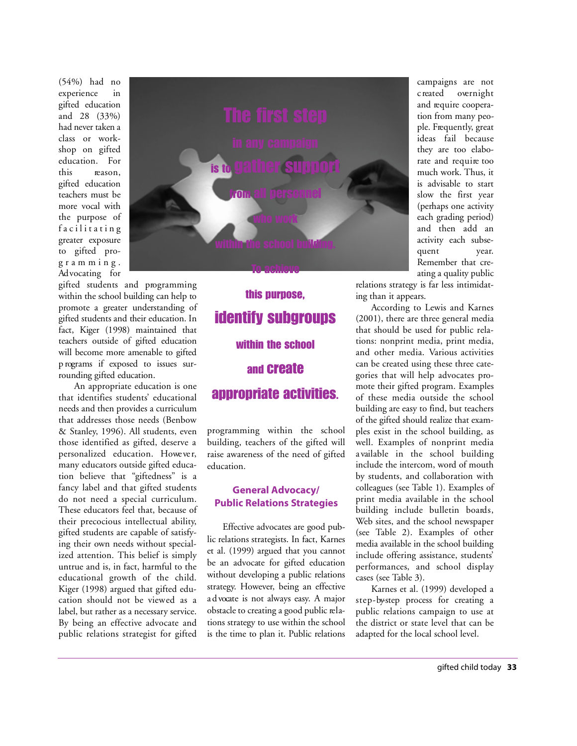(54%) had no experience in gifted education and 28 (33%) had never taken a class or workshop on gifted education. For this reason, gifted education teachers must be more vocal with the purpose of facilitating greater exposure to gifted prog r a m m i n g . Ad vocating for

gifted students and programming within the school building can help to promote a greater understanding of gifted students and their education. In fact, Kiger (1998) maintained that teachers outside of gifted education will become more amenable to gifted p rograms if exposed to issues surrounding gifted education.

An appropriate education is one that identifies students' educational needs and then provides a curriculum that addresses those needs (Benbow & Stanley, 1996). All students, even those identified as gifted, deserve a personalized education. However, many educators outside gifted education believe that "giftedness" is a fancy label and that gifted students do not need a special curriculum. These educators feel that, because of their precocious intellectual ability, gifted students are capable of satisfying their own needs without specialized attention. This belief is simply untrue and is, in fact, harmful to the educational growth of the child. Kiger (1998) argued that gifted education should not be viewed as a label, but rather as a necessary service. By being an effective advocate and public relations strategist for gifted

# To achieve this purpose, identify subgroups within the school and create appropriate activities.

is to gather support

from all personnel

who work

within the school building.

p rogramming within the school building, teachers of the gifted will raise awareness of the need of gifted education.

### **General Advocacy/ Public Relations Strategies**

Effective advocates are good public relations strategists. In fact, Karnes et al. (1999) argued that you cannot be an advocate for gifted education without developing a public relations strategy. However, being an effective a d vocate is not always easy. A major obstacle to creating a good public relations strategy to use within the school is the time to plan it. Public relations campaigns are not c reated overnight and require cooperation from many people. Frequently, great ideas fail because they are too elaborate and require too much work. Thus, it is advisable to start slow the first year (perhaps one activity each grading period) and then add an activity each subsequent year. Remember that creating a quality public

relations strategy is far less intimidating than it appears.

According to Lewis and Karnes (2001), there are three general media that should be used for public relations: nonprint media, print media, and other media. Various activities can be created using these three categories that will help advocates promote their gifted program. Examples of these media outside the school building are easy to find, but teachers of the gifted should realize that examples exist in the school building, as well. Examples of nonprint media a vailable in the school building include the intercom, word of mouth by students, and collaboration with colleagues (see Table 1). Examples of print media available in the school building include bulletin boards, Web sites, and the school newspaper (see Table 2). Examples of other media available in the school building include offering assistance, students' performances, and school display cases (see Table 3).

Karnes et al. (1999) developed a step-by-step process for creating a public relations campaign to use at the district or state level that can be adapted for the local school level.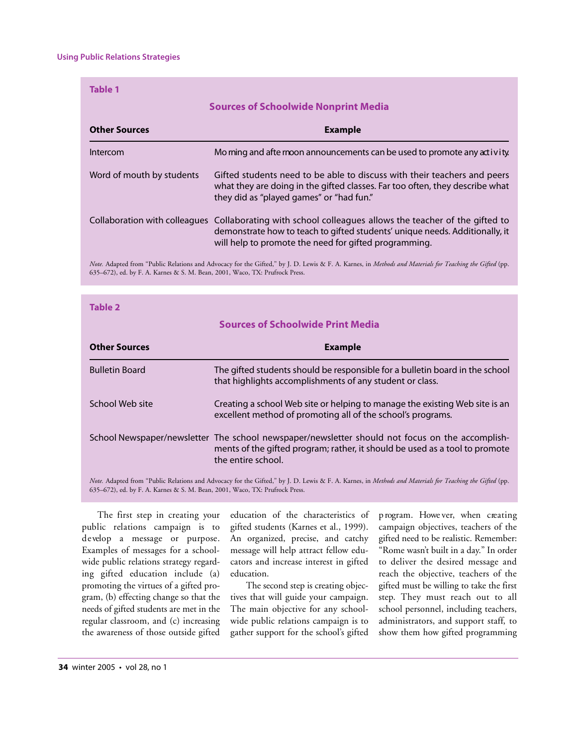| <b>Table 1</b>                              |                                                                                                                                                                                                                                                |
|---------------------------------------------|------------------------------------------------------------------------------------------------------------------------------------------------------------------------------------------------------------------------------------------------|
| <b>Sources of Schoolwide Nonprint Media</b> |                                                                                                                                                                                                                                                |
| <b>Other Sources</b>                        | <b>Example</b>                                                                                                                                                                                                                                 |
| Intercom                                    | Mo ming and afte moon announcements can be used to promote any activity.                                                                                                                                                                       |
| Word of mouth by students                   | Gifted students need to be able to discuss with their teachers and peers<br>what they are doing in the gifted classes. Far too often, they describe what<br>they did as "played games" or "had fun."                                           |
|                                             | Collaboration with colleagues Collaborating with school colleagues allows the teacher of the gifted to<br>demonstrate how to teach to gifted students' unique needs. Additionally, it<br>will help to promote the need for gifted programming. |
|                                             |                                                                                                                                                                                                                                                |

*Note.* Adapted from "Public Relations and Advocacy for the Gifted," by J. D. Lewis & F. A. Karnes, in *Methods and Materials for Teaching the Gifted* (pp. 635–672), ed. by F. A. Karnes & S. M. Bean, 2001, Waco, TX: Prufrock Press.

| Table 2                                                                                                                                                 |                                                                                                                                                                                                      |
|---------------------------------------------------------------------------------------------------------------------------------------------------------|------------------------------------------------------------------------------------------------------------------------------------------------------------------------------------------------------|
| <b>Sources of Schoolwide Print Media</b>                                                                                                                |                                                                                                                                                                                                      |
| <b>Other Sources</b>                                                                                                                                    | <b>Example</b>                                                                                                                                                                                       |
| <b>Bulletin Board</b>                                                                                                                                   | The gifted students should be responsible for a bulletin board in the school<br>that highlights accomplishments of any student or class.                                                             |
| School Web site                                                                                                                                         | Creating a school Web site or helping to manage the existing Web site is an<br>excellent method of promoting all of the school's programs.                                                           |
|                                                                                                                                                         | School Newspaper/newsletter The school newspaper/newsletter should not focus on the accomplish-<br>ments of the gifted program; rather, it should be used as a tool to promote<br>the entire school. |
| Note. Adapted from "Public Relations and Advocacy for the Gifted," by J. D. Lewis & F. A. Karnes, in Methods and Materials for Teaching the Gifted (pp. |                                                                                                                                                                                                      |

635–672), ed. by F. A. Karnes & S. M. Bean, 2001, Waco, TX: Prufrock Press.

The first step in creating your public relations campaign is to develop a message or purpose. Examples of messages for a schoolwide public relations strategy regarding gifted education include (a) promoting the virtues of a gifted program, (b) effecting change so that the needs of gifted students are met in the regular classroom, and (c) increasing the awareness of those outside gifted education of the characteristics of gifted students (Karnes et al., 1999). An organized, precise, and catchy message will help attract fellow educators and increase interest in gifted education.

The second step is creating objectives that will guide your campaign. The main objective for any schoolwide public relations campaign is to gather support for the school's gifted p rogram. Howe ver, when creating campaign objectives, teachers of the gifted need to be realistic. Remember: "Rome wasn't built in a day." In order to deliver the desired message and reach the objective, teachers of the gifted must be willing to take the first step. They must reach out to all school personnel, including teachers, administrators, and support staff, to show them how gifted programming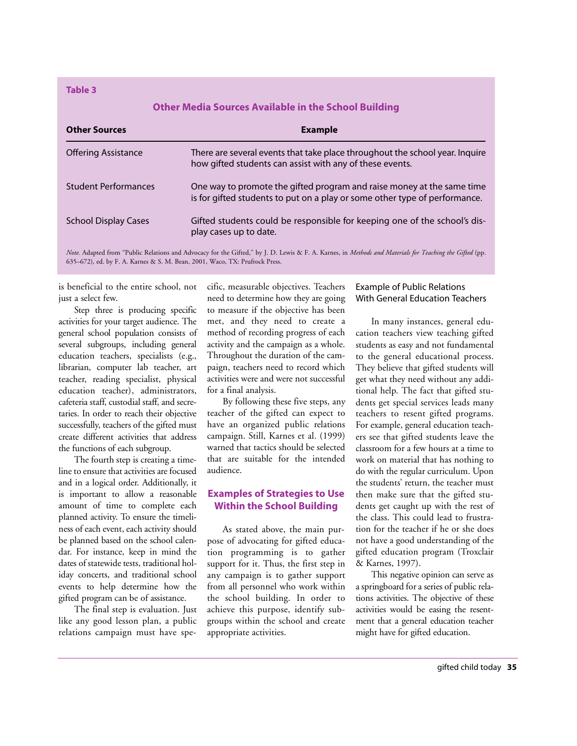**Table 3**

### **Other Media Sources Available in the School Building**

| <b>Other Sources</b>        | <b>Example</b>                                                                                                                                       |
|-----------------------------|------------------------------------------------------------------------------------------------------------------------------------------------------|
| <b>Offering Assistance</b>  | There are several events that take place throughout the school year. Inquire<br>how gifted students can assist with any of these events.             |
| <b>Student Performances</b> | One way to promote the gifted program and raise money at the same time<br>is for gifted students to put on a play or some other type of performance. |
| <b>School Display Cases</b> | Gifted students could be responsible for keeping one of the school's dis-<br>play cases up to date.                                                  |

*Note.* Adapted from "Public Relations and Advocacy for the Gifted," by J. D. Lewis & F. A. Karnes, in *Methods and Materials for Teaching the Gifted* (pp. 635–672), ed. by F. A. Karnes & S. M. Bean, 2001, Waco, TX: Prufrock Press.

is beneficial to the entire school, not just a select few.

Step three is producing specific activities for your target audience. The general school population consists of several subgroups, including general education teachers, specialists (e.g., librarian, computer lab teacher, art teacher, reading specialist, physical education teacher), administrators, cafeteria staff, custodial staff, and secretaries. In order to reach their objective successfully, teachers of the gifted must create different activities that address the functions of each subgroup.

The fourth step is creating a timeline to ensure that activities are focused and in a logical order. Additionally, it is important to allow a reasonable amount of time to complete each planned activity. To ensure the timeliness of each event, each activity should be planned based on the school calendar. For instance, keep in mind the dates of statewide tests, traditional holiday concerts, and traditional school events to help determine how the gifted program can be of assistance.

The final step is evaluation. Just like any good lesson plan, a public relations campaign must have specific, measurable objectives. Teachers need to determine how they are going to measure if the objective has been met, and they need to create a method of recording progress of each activity and the campaign as a whole. Throughout the duration of the campaign, teachers need to record which activities were and were not successful for a final analysis.

By following these five steps, any teacher of the gifted can expect to have an organized public relations campaign. Still, Karnes et al. (1999) warned that tactics should be selected that are suitable for the intended audience.

### **Examples of Strategies to Use Within the School Building**

As stated above, the main purpose of advocating for gifted education programming is to gather support for it. Thus, the first step in any campaign is to gather support from all personnel who work within the school building. In order to achieve this purpose, identify subgroups within the school and create appropriate activities.

### Example of Public Relations With General Education Teachers

In many instances, general education teachers view teaching gifted students as easy and not fundamental to the general educational process. They believe that gifted students will get what they need without any additional help. The fact that gifted students get special services leads many teachers to resent gifted programs. For example, general education teachers see that gifted students leave the classroom for a few hours at a time to work on material that has nothing to do with the regular curriculum. Upon the students' return, the teacher must then make sure that the gifted students get caught up with the rest of the class. This could lead to frustration for the teacher if he or she does not have a good understanding of the gifted education program (Troxclair & Karnes, 1997).

This negative opinion can serve as a springboard for a series of public relations activities. The objective of these activities would be easing the resentment that a general education teacher might have for gifted education.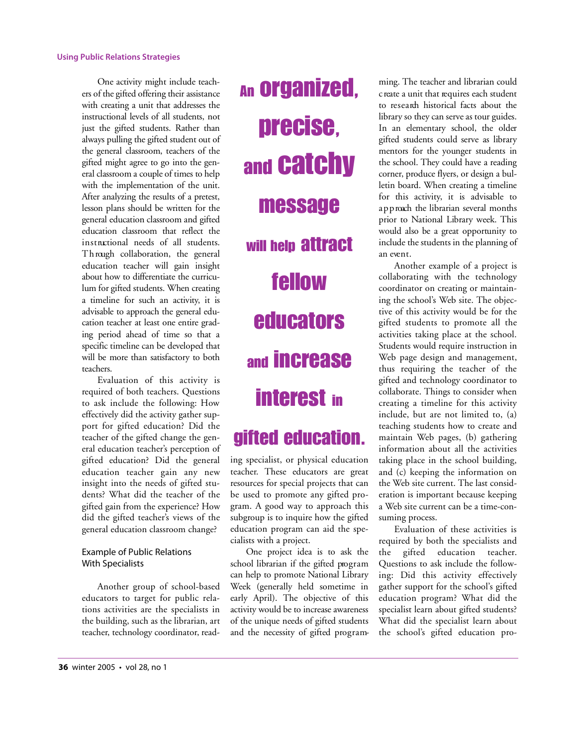One activity might include teachers of the gifted offering their assistance with creating a unit that addresses the instructional levels of all students, not just the gifted students. Rather than always pulling the gifted student out of the general classroom, teachers of the gifted might agree to go into the general classroom a couple of times to help with the implementation of the unit. After analyzing the results of a pretest, lesson plans should be written for the general education classroom and gifted education classroom that reflect the in structional needs of all students. Th rough collaboration, the general education teacher will gain insight about how to differentiate the curriculum for gifted students. When creating a timeline for such an activity, it is advisable to approach the general education teacher at least one entire grading period ahead of time so that a specific timeline can be developed that will be more than satisfactory to both teachers.

Evaluation of this activity is required of both teachers. Questions to ask include the following: How effectively did the activity gather support for gifted education? Did the teacher of the gifted change the general education teacher's perception of gifted education? Did the general education teacher gain any new insight into the needs of gifted students? What did the teacher of the gifted gain from the experience? How did the gifted teacher's views of the general education classroom change?

### Example of Public Relations With Specialists

Another group of school-based educators to target for public relations activities are the specialists in the building, such as the librarian, art teacher, technology coordinator, readAn organized, precise, and catchy message will help attract fellow **educators** and increase interest in

## gifted education.

ing specialist, or physical education teacher. These educators are great resources for special projects that can be used to promote any gifted program. A good way to approach this subgroup is to inquire how the gifted education program can aid the specialists with a project.

One project idea is to ask the school librarian if the gifted program can help to promote National Library Week (generally held sometime in early April). The objective of this activity would be to increase awareness of the unique needs of gifted students and the necessity of gifted programming. The teacher and librarian could c reate a unit that requires each student to research historical facts about the library so they can serve as tour guides. In an elementary school, the older gifted students could serve as library mentors for the younger students in the school. They could have a reading corner, produce flyers, or design a bulletin board. When creating a timeline for this activity, it is advisable to a p p roach the librarian several months prior to National Library week. This would also be a great opportunity to include the students in the planning of an event.

Another example of a project is collaborating with the technology coordinator on creating or maintaining the school's Web site. The objective of this activity would be for the gifted students to promote all the activities taking place at the school. Students would require instruction in Web page design and management, thus requiring the teacher of the gifted and technology coordinator to collaborate. Things to consider when creating a timeline for this activity include, but are not limited to, (a) teaching students how to create and maintain Web pages, (b) gathering information about all the activities taking place in the school building, and (c) keeping the information on the Web site current. The last consideration is important because keeping a Web site current can be a time-consuming process.

Evaluation of these activities is required by both the specialists and the gifted education teacher. Questions to ask include the following: Did this activity effectively gather support for the school's gifted education program? What did the specialist learn about gifted students? What did the specialist learn about the school's gifted education pro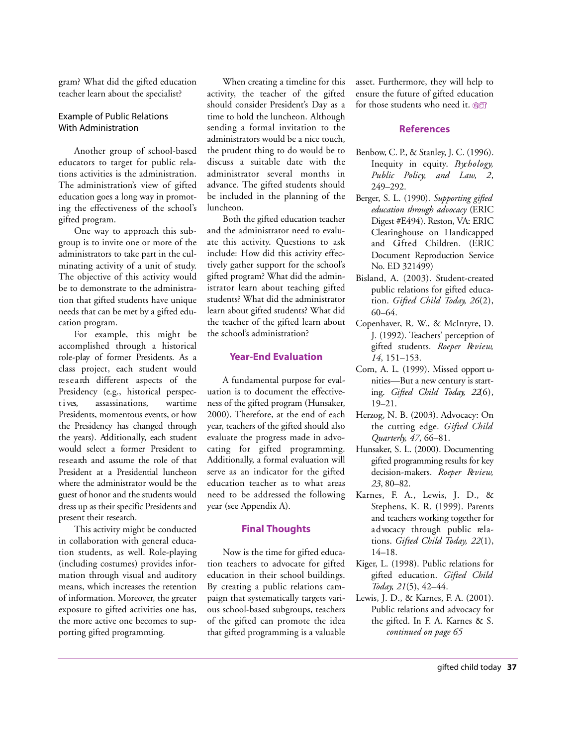gram? What did the gifted education teacher learn about the specialist?

### Example of Public Relations With Administration

Another group of school-based educators to target for public relations activities is the administration. The administration's view of gifted education goes a long way in promoting the effectiveness of the school's gifted program.

One way to approach this subgroup is to invite one or more of the administrators to take part in the culminating activity of a unit of study. The objective of this activity would be to demonstrate to the administration that gifted students have unique needs that can be met by a gifted education program.

For example, this might be accomplished through a historical role-play of former Presidents. As a class project, each student would re search different aspects of the Presidency (e.g., historical perspectives, assassinations, wartime Presidents, momentous events, or how the Presidency has changed through the years). Additionally, each student would select a former President to research and assume the role of that President at a Presidential luncheon where the administrator would be the guest of honor and the students would dress up as their specific Presidents and present their research.

This activity might be conducted in collaboration with general education students, as well. Role-playing (including costumes) provides information through visual and auditory means, which increases the retention of information. Moreover, the greater exposure to gifted activities one has, the more active one becomes to supporting gifted programming.

When creating a timeline for this activity, the teacher of the gifted should consider President's Day as a time to hold the luncheon. Although sending a formal invitation to the administrators would be a nice touch, the prudent thing to do would be to discuss a suitable date with the administrator several months in advance. The gifted students should be included in the planning of the luncheon.

Both the gifted education teacher and the administrator need to evaluate this activity. Questions to ask include: How did this activity effectively gather support for the school's gifted program? What did the administrator learn about teaching gifted students? What did the administrator learn about gifted students? What did the teacher of the gifted learn about the school's administration?

### **Year-End Evaluation**

A fundamental purpose for evaluation is to document the effectiveness of the gifted program (Hunsaker, 2000). Therefore, at the end of each year, teachers of the gifted should also evaluate the progress made in advocating for gifted programming. Additionally, a formal evaluation will serve as an indicator for the gifted education teacher as to what areas need to be addressed the following year (see Appendix A).

### **Final Thoughts**

Now is the time for gifted education teachers to advocate for gifted education in their school buildings. By creating a public relations campaign that systematically targets various school-based subgroups, teachers of the gifted can promote the idea that gifted programming is a valuable asset. Furthermore, they will help to ensure the future of gifted education for those students who need it.

#### **References**

- Benbow, C. P., & Stanley, J. C. (1996). Inequity in equity. *Bychology*, *Public Policy, and Law, 2,* 249-292.
- Berger, S. L. (1990). *Supporting gifted education through advocacy* (ERIC Digest #E494). Reston, VA: ERIC Clearinghouse on Handicapped and Gfted Children. (ERIC Document Reproduction Service No. ED 321499)
- Bisland, A. (2003). Student-created public relations for gifted education. *Gifted Child Today, 26*(2), 60–64.
- Copenhaver, R. W., & McIntyre, D. J. (1992). Teachers' perception of gifted students. Roeper Review, *14*, 151–153.
- Corn, A. L. (1999). Missed opport unities-But a new century is starting. *Gifted Child Today*, 22(6),  $19 - 21.$
- Herzog, N. B. (2003). Advocacy: On the cutting edge. *Gifted Child Quarterly, 47*, 66–81.
- Hunsaker, S. L. (2000). Documenting gifted programming results for key decision-makers. *Roeper Re v i e w, 2 3*, 80–82.
- Karnes, F. A., Lewis, J. D., & Stephens, K. R. (1999). Parents and teachers working together for a d vocacy through public relations. *Gifted Child Today, 22*(1), 14–18.
- Kiger, L. (1998). Public relations for gifted education. *Gifted Child Today, 21*(5), 42–44.
- Lewis, J. D., & Karnes, F. A. (2001). Public relations and advocacy for the gifted. In F. A. Karnes & S. *continued on page 65*